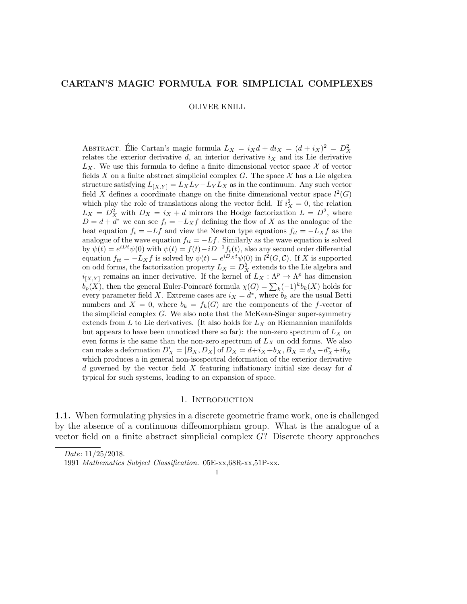# CARTAN'S MAGIC FORMULA FOR SIMPLICIAL COMPLEXES

#### OLIVER KNILL

ABSTRACT. Élie Cartan's magic formula  $L_X = i_X d + d i_X = (d + i_X)^2 = D_X^2$ relates the exterior derivative  $d$ , an interior derivative  $i_X$  and its Lie derivative  $L_X$ . We use this formula to define a finite dimensional vector space X of vector fields X on a finite abstract simplicial complex G. The space  $\mathcal X$  has a Lie algebra structure satisfying  $L_{[X,Y]} = L_X L_Y - L_Y L_X$  as in the continuum. Any such vector field X defines a coordinate change on the finite dimensional vector space  $l^2(G)$ which play the role of translations along the vector field. If  $i_X^2 = 0$ , the relation  $L_X = D_X^2$  with  $D_X = i_X + d$  mirrors the Hodge factorization  $L = D^2$ , where  $D = d + d^*$  we can see  $f_t = -L_X f$  defining the flow of X as the analogue of the heat equation  $f_t = -Lf$  and view the Newton type equations  $f_{tt} = -L_Xf$  as the analogue of the wave equation  $f_{tt} = -Lf$ . Similarly as the wave equation is solved by  $\psi(t) = e^{iDt}\psi(0)$  with  $\psi(t) = f(t) - iD^{-1}f_t(t)$ , also any second order differential equation  $f_{tt} = -L_X f$  is solved by  $\psi(t) = e^{iD_X t} \psi(0)$  in  $l^2(G, \mathcal{C})$ . If X is supported on odd forms, the factorization property  $L_X = D_X^2$  extends to the Lie algebra and  $i_{[X,Y]}$  remains an inner derivative. If the kernel of  $L_X: \Lambda^p \to \Lambda^p$  has dimension  $b_p(X)$ , then the general Euler-Poincaré formula  $\chi(G) = \sum_k (-1)^k b_k(X)$  holds for every parameter field X. Extreme cases are  $i_X = d^*$ , where  $b_k$  are the usual Betti numbers and  $X = 0$ , where  $b_k = f_k(G)$  are the components of the f-vector of the simplicial complex  $G$ . We also note that the McKean-Singer super-symmetry extends from  $L$  to Lie derivatives. (It also holds for  $L<sub>X</sub>$  on Riemannian manifolds but appears to have been unnoticed there so far): the non-zero spectrum of  $L_X$  on even forms is the same than the non-zero spectrum of  $L_X$  on odd forms. We also can make a deformation  $D'_X = [B_X, D_X]$  of  $D_X = d + i_X + b_X$ ,  $B_X = d_X - d_X^* + ib_X$ which produces a in general non-isospectral deformation of the exterior derivative d governed by the vector field  $X$  featuring inflationary initial size decay for  $d$ typical for such systems, leading to an expansion of space.

## 1. Introduction

1.1. When formulating physics in a discrete geometric frame work, one is challenged by the absence of a continuous diffeomorphism group. What is the analogue of a vector field on a finite abstract simplicial complex G? Discrete theory approaches

#### 1

Date: 11/25/2018. 1991 Mathematics Subject Classification. 05E-xx,68R-xx,51P-xx.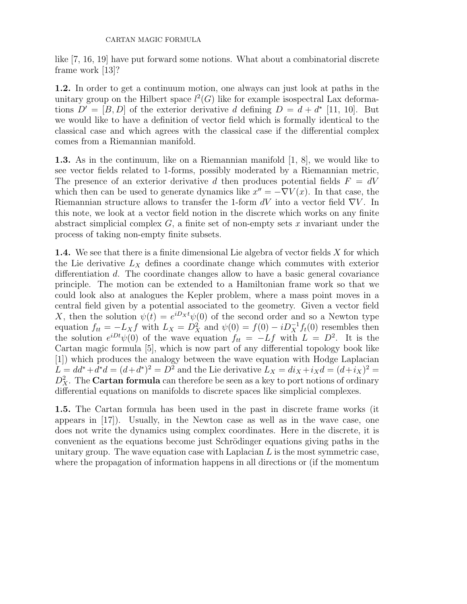like [7, 16, 19] have put forward some notions. What about a combinatorial discrete frame work [13]?

1.2. In order to get a continuum motion, one always can just look at paths in the unitary group on the Hilbert space  $l^2(G)$  like for example isospectral Lax deformations  $D' = [B, D]$  of the exterior derivative d defining  $D = d + d^*$  [11, 10]. But we would like to have a definition of vector field which is formally identical to the classical case and which agrees with the classical case if the differential complex comes from a Riemannian manifold.

1.3. As in the continuum, like on a Riemannian manifold [1, 8], we would like to see vector fields related to 1-forms, possibly moderated by a Riemannian metric, The presence of an exterior derivative d then produces potential fields  $F = dV$ which then can be used to generate dynamics like  $x'' = -\nabla V(x)$ . In that case, the Riemannian structure allows to transfer the 1-form  $dV$  into a vector field  $\nabla V$ . In this note, we look at a vector field notion in the discrete which works on any finite abstract simplicial complex  $G$ , a finite set of non-empty sets x invariant under the process of taking non-empty finite subsets.

**1.4.** We see that there is a finite dimensional Lie algebra of vector fields X for which the Lie derivative  $L_X$  defines a coordinate change which commutes with exterior differentiation d. The coordinate changes allow to have a basic general covariance principle. The motion can be extended to a Hamiltonian frame work so that we could look also at analogues the Kepler problem, where a mass point moves in a central field given by a potential associated to the geometry. Given a vector field X, then the solution  $\psi(t) = e^{iD_x t} \psi(0)$  of the second order and so a Newton type equation  $f_{tt} = -L_X f$  with  $L_X = D_X^2$  and  $\psi(0) = f(0) - iD_X^{-1} f_t(0)$  resembles then the solution  $e^{iDt}\psi(0)$  of the wave equation  $f_{tt} = -Lf$  with  $L = D^2$ . It is the Cartan magic formula [5], which is now part of any differential topology book like [1]) which produces the analogy between the wave equation with Hodge Laplacian  $L = dd^* + d^*d = (d + d^*)^2 = D^2$  and the Lie derivative  $L_X = di_X + i_Xd = (d + i_X)^2 =$  $D_X^2$ . The **Cartan formula** can therefore be seen as a key to port notions of ordinary differential equations on manifolds to discrete spaces like simplicial complexes.

1.5. The Cartan formula has been used in the past in discrete frame works (it appears in [17]). Usually, in the Newton case as well as in the wave case, one does not write the dynamics using complex coordinates. Here in the discrete, it is convenient as the equations become just Schrödinger equations giving paths in the unitary group. The wave equation case with Laplacian  $L$  is the most symmetric case, where the propagation of information happens in all directions or (if the momentum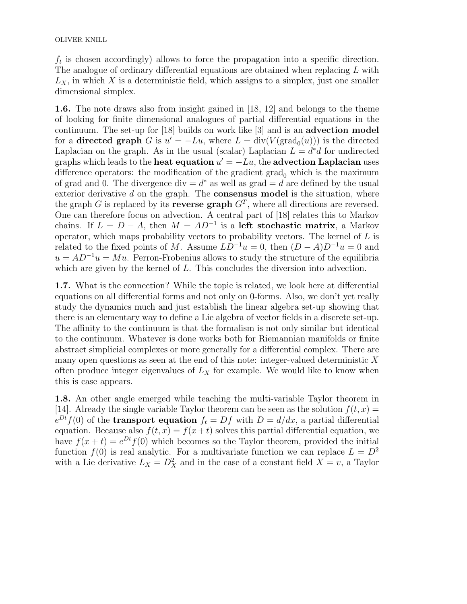OLIVER KNILL

 $f_t$  is chosen accordingly) allows to force the propagation into a specific direction. The analogue of ordinary differential equations are obtained when replacing L with  $L_X$ , in which X is a deterministic field, which assigns to a simplex, just one smaller dimensional simplex.

1.6. The note draws also from insight gained in [18, 12] and belongs to the theme of looking for finite dimensional analogues of partial differential equations in the continuum. The set-up for [18] builds on work like [3] and is an advection model for a **directed graph** G is  $u' = -Lu$ , where  $L = \text{div}(V(\text{grad}_0(u)))$  is the directed Laplacian on the graph. As in the usual (scalar) Laplacian  $L = d^*d$  for undirected graphs which leads to the heat equation  $u' = -Lu$ , the advection Laplacian uses difference operators: the modification of the gradient  $\text{grad}_0$  which is the maximum of grad and 0. The divergence div  $= d^*$  as well as grad  $= d$  are defined by the usual exterior derivative  $d$  on the graph. The **consensus model** is the situation, where the graph G is replaced by its **reverse graph**  $G<sup>T</sup>$ , where all directions are reversed. One can therefore focus on advection. A central part of [18] relates this to Markov chains. If  $L = D - A$ , then  $M = AD^{-1}$  is a left stochastic matrix, a Markov operator, which maps probability vectors to probability vectors. The kernel of  $L$  is related to the fixed points of M. Assume  $LD^{-1}u = 0$ , then  $(D - A)D^{-1}u = 0$  and  $u = AD^{-1}u = Mu$ . Perron-Frobenius allows to study the structure of the equilibria which are given by the kernel of L. This concludes the diversion into advection.

1.7. What is the connection? While the topic is related, we look here at differential equations on all differential forms and not only on 0-forms. Also, we don't yet really study the dynamics much and just establish the linear algebra set-up showing that there is an elementary way to define a Lie algebra of vector fields in a discrete set-up. The affinity to the continuum is that the formalism is not only similar but identical to the continuum. Whatever is done works both for Riemannian manifolds or finite abstract simplicial complexes or more generally for a differential complex. There are many open questions as seen at the end of this note: integer-valued deterministic  $X$ often produce integer eigenvalues of  $L_X$  for example. We would like to know when this is case appears.

1.8. An other angle emerged while teaching the multi-variable Taylor theorem in [14]. Already the single variable Taylor theorem can be seen as the solution  $f(t, x) =$  $e^{Dt}f(0)$  of the **transport equation**  $f_t = Df$  with  $D = d/dx$ , a partial differential equation. Because also  $f(t, x) = f(x + t)$  solves this partial differential equation, we have  $f(x + t) = e^{Dt} f(0)$  which becomes so the Taylor theorem, provided the initial function  $f(0)$  is real analytic. For a multivariate function we can replace  $L = D^2$ with a Lie derivative  $L_X = D_X^2$  and in the case of a constant field  $X = v$ , a Taylor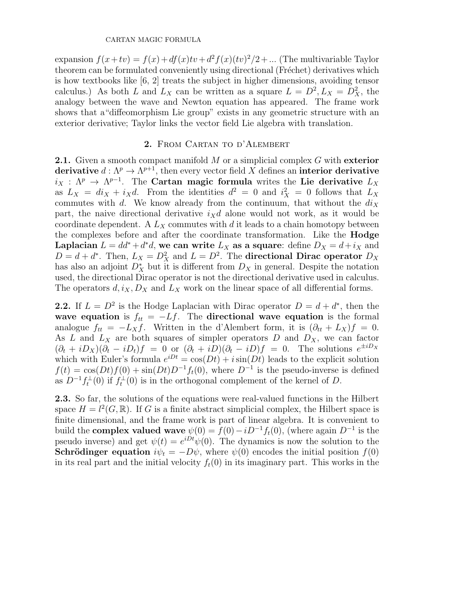expansion  $f(x+tv) = f(x) + df(x)tv + d^2 f(x)(tv)^2/2 + ...$  (The multivariable Taylor theorem can be formulated conveniently using directional (Fréchet) derivatives which is how textbooks like [6, 2] treats the subject in higher dimensions, avoiding tensor calculus.) As both L and  $L_X$  can be written as a square  $L = D^2, L_X = D_X^2$ , the analogy between the wave and Newton equation has appeared. The frame work shows that a"diffeomorphism Lie group" exists in any geometric structure with an exterior derivative; Taylor links the vector field Lie algebra with translation.

# 2. From Cartan to d'Alembert

**2.1.** Given a smooth compact manifold  $M$  or a simplicial complex  $G$  with exterior derivative  $d: \Lambda^p \to \Lambda^{p+1}$ , then every vector field X defines an interior derivative  $i_X$  :  $\Lambda^p \to \Lambda^{p-1}$ . The Cartan magic formula writes the Lie derivative  $L_X$ as  $L_X = di_X + i_X d$ . From the identities  $d^2 = 0$  and  $i_X^2 = 0$  follows that  $L_X$ commutes with d. We know already from the continuum, that without the  $di_X$ part, the naive directional derivative  $i_Xd$  alone would not work, as it would be coordinate dependent. A  $L_X$  commutes with d it leads to a chain homotopy between the complexes before and after the coordinate transformation. Like the Hodge Laplacian  $L = dd^* + d^*d$ , we can write  $L_X$  as a square: define  $D_X = d + i_X$  and  $D = d + d^*$ . Then,  $L_X = D_X^2$  and  $L = D^2$ . The **directional Dirac operator**  $D_X$ has also an adjoint  $D_X^*$  but it is different from  $D_X$  in general. Despite the notation used, the directional Dirac operator is not the directional derivative used in calculus. The operators  $d, i_X, D_X$  and  $L_X$  work on the linear space of all differential forms.

**2.2.** If  $L = D^2$  is the Hodge Laplacian with Dirac operator  $D = d + d^*$ , then the wave equation is  $f_{tt} = -Lf$ . The directional wave equation is the formal analogue  $f_{tt} = -L_X f$ . Written in the d'Alembert form, it is  $(\partial_{tt} + L_X)f = 0$ . As L and  $L_X$  are both squares of simpler operators D and  $D_X$ , we can factor  $(\partial_t + iD_x)(\partial_t - iD_t)f = 0$  or  $(\partial_t + iD)(\partial_t - iD)f = 0$ . The solutions  $e^{\pm iD_x}$ which with Euler's formula  $e^{iDt} = \cos(Dt) + i \sin(Dt)$  leads to the explicit solution  $f(t) = \cos(Dt)f(0) + \sin(Dt)D^{-1}f(t)$ , where  $D^{-1}$  is the pseudo-inverse is defined as  $D^{-1} f_t^{\perp}(0)$  if  $f_t^{\perp}(0)$  is in the orthogonal complement of the kernel of D.

2.3. So far, the solutions of the equations were real-valued functions in the Hilbert space  $H = l^2(G, \mathbb{R})$ . If G is a finite abstract simplicial complex, the Hilbert space is finite dimensional, and the frame work is part of linear algebra. It is convenient to build the **complex valued wave**  $\psi(0) = f(0) - iD^{-1}f_t(0)$ , (where again  $D^{-1}$  is the pseudo inverse) and get  $\psi(t) = e^{iDt}\psi(0)$ . The dynamics is now the solution to the **Schrödinger equation**  $i\psi_t = -D\psi$ , where  $\psi(0)$  encodes the initial position  $f(0)$ in its real part and the initial velocity  $f_t(0)$  in its imaginary part. This works in the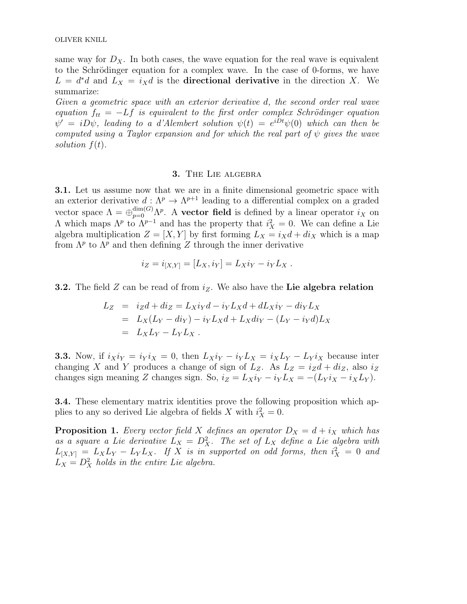same way for  $D<sub>X</sub>$ . In both cases, the wave equation for the real wave is equivalent to the Schrödinger equation for a complex wave. In the case of 0-forms, we have  $L = d^*d$  and  $L_X = i_Xd$  is the **directional derivative** in the direction X. We summarize:

Given a geometric space with an exterior derivative d, the second order real wave equation  $f_{tt} = -Lf$  is equivalent to the first order complex Schrödinger equation  $\psi' = i D \psi$ , leading to a d'Alembert solution  $\psi(t) = e^{i D t} \psi(0)$  which can then be computed using a Taylor expansion and for which the real part of  $\psi$  gives the wave solution  $f(t)$ .

## 3. The Lie algebra

3.1. Let us assume now that we are in a finite dimensional geometric space with an exterior derivative  $d: \Lambda^p \to \Lambda^{p+1}$  leading to a differential complex on a graded vector space  $\Lambda = \bigoplus_{p=0}^{\dim(G)} \Lambda^p$ . A **vector field** is defined by a linear operator  $i_X$  on  $Λ$  which maps  $Λ<sup>p</sup>$  to  $Λ<sup>p-1</sup>$  and has the property that  $i<sup>2</sup><sub>X</sub> = 0$ . We can define a Lie 2 algebra multiplication  $Z = [X, Y]$  by first forming  $L_X = i_X d + d i_X$  which is a map from  $\Lambda^p$  to  $\Lambda^p$  and then defining Z through the inner derivative

$$
i_Z = i_{[X,Y]} = [L_X, i_Y] = L_X i_Y - i_Y L_X.
$$

**3.2.** The field Z can be read of from  $i_Z$ . We also have the Lie algebra relation

$$
L_Z = i_Z d + d i_Z = L_X i_Y d - i_Y L_X d + d L_X i_Y - d i_Y L_X
$$
  
=  $L_X (L_Y - d i_Y) - i_Y L_X d + L_X d i_Y - (L_Y - i_Y d) L_X$   
=  $L_X L_Y - L_Y L_X$ .

**3.3.** Now, if  $i_Xi_Y = i_Yi_X = 0$ , then  $L_Xi_Y - i_YL_X = i_XL_Y - L_Yi_X$  because inter changing X and Y produces a change of sign of  $L_z$ . As  $L_z = i_Z d + d i_z$ , also  $i_z$ changes sign meaning Z changes sign. So,  $i_Z = L_X i_Y - i_Y L_X = -(L_Y i_X - i_X L_Y)$ .

3.4. These elementary matrix identities prove the following proposition which applies to any so derived Lie algebra of fields X with  $i_X^2 = 0$ .

**Proposition 1.** Every vector field X defines an operator  $D_X = d + i_X$  which has as a square a Lie derivative  $L_X = D_X^2$ . The set of  $L_X$  define a Lie algebra with  $L_{[X,Y]} = L_X L_Y - L_Y L_X$ . If X is in supported on odd forms, then  $i_X^2 = 0$  and  $L_X = D_X^2$  holds in the entire Lie algebra.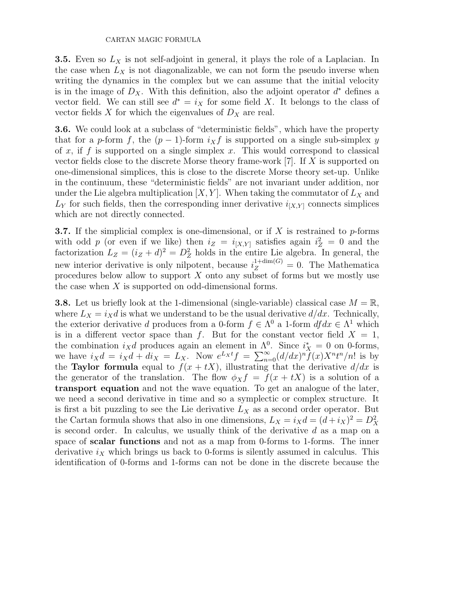**3.5.** Even so  $L_X$  is not self-adjoint in general, it plays the role of a Laplacian. In the case when  $L_X$  is not diagonalizable, we can not form the pseudo inverse when writing the dynamics in the complex but we can assume that the initial velocity is in the image of  $D_X$ . With this definition, also the adjoint operator  $d^*$  defines a vector field. We can still see  $d^* = i_X$  for some field X. It belongs to the class of vector fields X for which the eigenvalues of  $D_X$  are real.

3.6. We could look at a subclass of "deterministic fields", which have the property that for a p-form f, the  $(p-1)$ -form  $i_X f$  is supported on a single sub-simplex y of x, if f is supported on a single simplex x. This would correspond to classical vector fields close to the discrete Morse theory frame-work [7]. If X is supported on one-dimensional simplices, this is close to the discrete Morse theory set-up. Unlike in the continuum, these "deterministic fields" are not invariant under addition, nor under the Lie algebra multiplication  $[X, Y]$ . When taking the commutator of  $L_X$  and  $L_Y$  for such fields, then the corresponding inner derivative  $i_{[X,Y]}$  connects simplices which are not directly connected.

**3.7.** If the simplicial complex is one-dimensional, or if X is restrained to  $p$ -forms with odd p (or even if we like) then  $i_Z = i_{[X,Y]}$  satisfies again  $i_Z^2 = 0$  and the factorization  $L_Z = (i_Z + d)^2 = D_Z^2$  holds in the entire Lie algebra. In general, the new interior derivative is only nilpotent, because  $i_Z^{1+\dim(G)} = 0$ . The Mathematica procedures below allow to support  $X$  onto any subset of forms but we mostly use the case when  $X$  is supported on odd-dimensional forms.

**3.8.** Let us briefly look at the 1-dimensional (single-variable) classical case  $M = \mathbb{R}$ , where  $L_X = i_X d$  is what we understand to be the usual derivative  $d/dx$ . Technically, the exterior derivative d produces from a 0-form  $f \in \Lambda^0$  a 1-form  $df dx \in \Lambda^1$  which is in a different vector space than f. But for the constant vector field  $X = 1$ , the combination  $i_X d$  produces again an element in  $\Lambda^0$ . Since  $i_X^* = 0$  on 0-forms, we have  $i_X d = i_X d + d i_X = L_X$ . Now  $e^{L_X t} f = \sum_{n=0}^{\infty} (d/dx)^n \hat{f}(x) X^n t^n/n!$  is by the **Taylor formula** equal to  $f(x + tX)$ , illustrating that the derivative  $d/dx$  is the generator of the translation. The flow  $\phi_X f = f(x + tX)$  is a solution of a transport equation and not the wave equation. To get an analogue of the later, we need a second derivative in time and so a symplectic or complex structure. It is first a bit puzzling to see the Lie derivative  $L_X$  as a second order operator. But the Cartan formula shows that also in one dimensions,  $L_X = i_X d = (d + i_X)^2 = D_X^2$ is second order. In calculus, we usually think of the derivative d as a map on a space of scalar functions and not as a map from 0-forms to 1-forms. The inner derivative  $i_X$  which brings us back to 0-forms is silently assumed in calculus. This identification of 0-forms and 1-forms can not be done in the discrete because the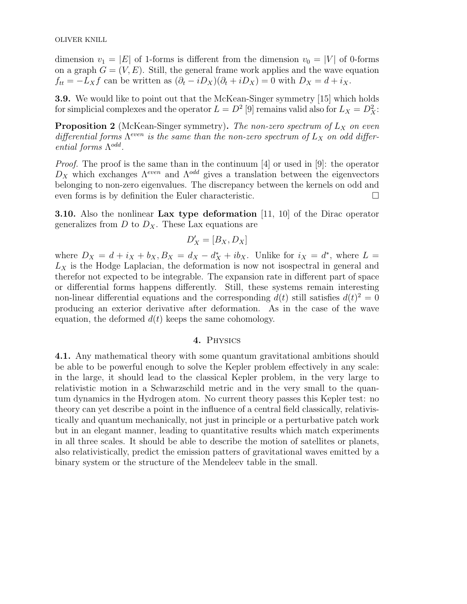dimension  $v_1 = |E|$  of 1-forms is different from the dimension  $v_0 = |V|$  of 0-forms on a graph  $G = (V, E)$ . Still, the general frame work applies and the wave equation  $f_{tt} = -L_Xf$  can be written as  $(\partial_t - iD_X)(\partial_t + iD_X) = 0$  with  $D_X = d + i_X$ .

3.9. We would like to point out that the McKean-Singer symmetry [15] which holds for simplicial complexes and the operator  $L = D^2 [9]$  remains valid also for  $L_X = D_X^2$ :

**Proposition 2** (McKean-Singer symmetry). The non-zero spectrum of  $L_X$  on even differential forms  $\Lambda^{even}$  is the same than the non-zero spectrum of  $L_X$  on odd differential forms  $\Lambda^{odd}$ .

Proof. The proof is the same than in the continuum [4] or used in [9]: the operator  $D_X$  which exchanges  $\Lambda^{even}$  and  $\Lambda^{odd}$  gives a translation between the eigenvectors belonging to non-zero eigenvalues. The discrepancy between the kernels on odd and even forms is by definition the Euler characteristic.

**3.10.** Also the nonlinear Lax type deformation  $[11, 10]$  of the Dirac operator generalizes from  $D$  to  $D_X$ . These Lax equations are

$$
D'_X=[B_X,D_X]
$$

where  $D_X = d + i_X + b_X$ ,  $B_X = d_X - d_X^* + ib_X$ . Unlike for  $i_X = d^*$ , where  $L =$  $L_X$  is the Hodge Laplacian, the deformation is now not isospectral in general and therefor not expected to be integrable. The expansion rate in different part of space or differential forms happens differently. Still, these systems remain interesting non-linear differential equations and the corresponding  $d(t)$  still satisfies  $d(t)^2 = 0$ producing an exterior derivative after deformation. As in the case of the wave equation, the deformed  $d(t)$  keeps the same cohomology.

## 4. Physics

4.1. Any mathematical theory with some quantum gravitational ambitions should be able to be powerful enough to solve the Kepler problem effectively in any scale: in the large, it should lead to the classical Kepler problem, in the very large to relativistic motion in a Schwarzschild metric and in the very small to the quantum dynamics in the Hydrogen atom. No current theory passes this Kepler test: no theory can yet describe a point in the influence of a central field classically, relativistically and quantum mechanically, not just in principle or a perturbative patch work but in an elegant manner, leading to quantitative results which match experiments in all three scales. It should be able to describe the motion of satellites or planets, also relativistically, predict the emission patters of gravitational waves emitted by a binary system or the structure of the Mendeleev table in the small.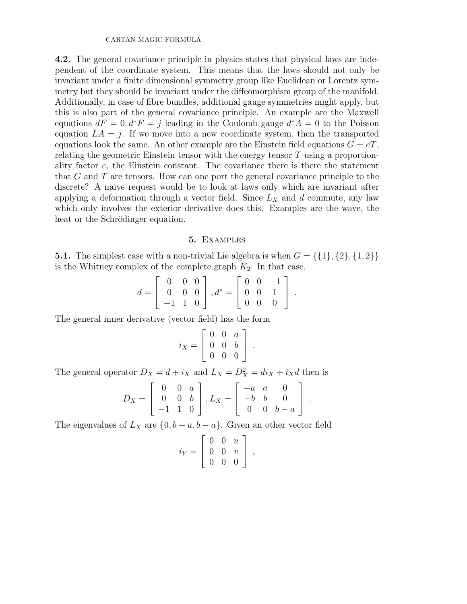4.2. The general covariance principle in physics states that physical laws are independent of the coordinate system. This means that the laws should not only be invariant under a finite dimensional symmetry group like Euclidean or Lorentz symmetry but they should be invariant under the diffeomorphism group of the manifold. Additionally, in case of fibre bundles, additional gauge symmetries might apply, but this is also part of the general covariance principle. An example are the Maxwell equations  $dF = 0, d^*F = j$  leading in the Coulomb gauge  $d^*A = 0$  to the Poisson equation  $LA = j$ . If we move into a new coordinate system, then the transported equations look the same. An other example are the Einstein field equations  $G = eT$ , relating the geometric Einstein tensor with the energy tensor T using a proportionality factor e, the Einstein constant. The covariance there is there the statement that  $G$  and  $T$  are tensors. How can one port the general covariance principle to the discrete? A naive request would be to look at laws only which are invariant after applying a deformation through a vector field. Since  $L_X$  and d commute, any law which only involves the exterior derivative does this. Examples are the wave, the heat or the Schrödinger equation.

## 5. Examples

**5.1.** The simplest case with a non-trivial Lie algebra is when  $G = \{\{1\}, \{2\}, \{1, 2\}\}\$ is the Whitney complex of the complete graph  $K_2$ . In that case,

$$
d = \left[ \begin{array}{rrr} 0 & 0 & 0 \\ 0 & 0 & 0 \\ -1 & 1 & 0 \end{array} \right], d^* = \left[ \begin{array}{rrr} 0 & 0 & -1 \\ 0 & 0 & 1 \\ 0 & 0 & 0 \end{array} \right].
$$

The general inner derivative (vector field) has the form

$$
i_X = \left[ \begin{array}{ccc} 0 & 0 & a \\ 0 & 0 & b \\ 0 & 0 & 0 \end{array} \right] .
$$

The general operator  $D_X = d + i_X$  and  $L_X = D_X^2 = di_X + i_X d$  then is

$$
D_X = \begin{bmatrix} 0 & 0 & a \\ 0 & 0 & b \\ -1 & 1 & 0 \end{bmatrix}, L_X = \begin{bmatrix} -a & a & 0 \\ -b & b & 0 \\ 0 & 0 & b - a \end{bmatrix}.
$$

The eigenvalues of  $L_X$  are  $\{0, b - a, b - a\}$ . Given an other vector field

$$
i_Y = \left[ \begin{array}{ccc} 0 & 0 & u \\ 0 & 0 & v \\ 0 & 0 & 0 \end{array} \right] ,
$$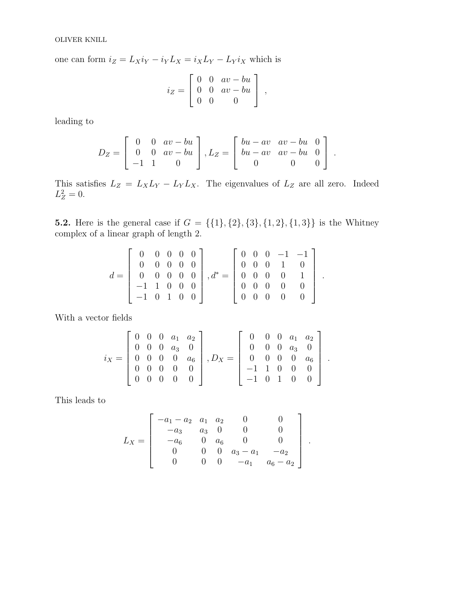one can form  $i_Z = L_X i_Y - i_Y L_X = i_X L_Y - L_Y i_X$  which is

$$
i_Z = \begin{bmatrix} 0 & 0 & av - bu \\ 0 & 0 & av - bu \\ 0 & 0 & 0 \end{bmatrix},
$$

leading to

$$
D_Z = \begin{bmatrix} 0 & 0 & av - bu \\ 0 & 0 & av - bu \\ -1 & 1 & 0 \end{bmatrix}, L_Z = \begin{bmatrix} bu - av & av - bu & 0 \\ bu - av & av - bu & 0 \\ 0 & 0 & 0 \end{bmatrix}.
$$

This satisfies  $L_Z = L_X L_Y - L_Y L_X$ . The eigenvalues of  $L_Z$  are all zero. Indeed  $L_Z^2 = 0.$ 

5.2. Here is the general case if  $G = \{\{1\}, \{2\}, \{3\}, \{1, 2\}, \{1, 3\}\}\$ is the Whitney complex of a linear graph of length 2.

$$
d = \left[\begin{array}{cccc} 0 & 0 & 0 & 0 & 0 \\ 0 & 0 & 0 & 0 & 0 \\ 0 & 0 & 0 & 0 & 0 \\ -1 & 1 & 0 & 0 & 0 \\ -1 & 0 & 1 & 0 & 0 \end{array}\right], d^* = \left[\begin{array}{cccc} 0 & 0 & 0 & -1 & -1 \\ 0 & 0 & 0 & 1 & 0 \\ 0 & 0 & 0 & 0 & 1 \\ 0 & 0 & 0 & 0 & 0 \\ 0 & 0 & 0 & 0 & 0 \end{array}\right]
$$

.

With a vector fields

$$
i_X = \left[\begin{array}{cccc} 0 & 0 & 0 & a_1 & a_2 \\ 0 & 0 & 0 & a_3 & 0 \\ 0 & 0 & 0 & 0 & a_6 \\ 0 & 0 & 0 & 0 & 0 \\ 0 & 0 & 0 & 0 & 0 \end{array}\right], D_X = \left[\begin{array}{cccc} 0 & 0 & 0 & a_1 & a_2 \\ 0 & 0 & 0 & a_3 & 0 \\ 0 & 0 & 0 & 0 & a_6 \\ -1 & 1 & 0 & 0 & 0 \\ -1 & 0 & 1 & 0 & 0 \end{array}\right].
$$

This leads to

$$
L_X = \left[ \begin{array}{rrrrr} -a_1 - a_2 & a_1 & a_2 & 0 & 0 \\ -a_3 & a_3 & 0 & 0 & 0 \\ -a_6 & 0 & a_6 & 0 & 0 \\ 0 & 0 & 0 & a_3 - a_1 & -a_2 \\ 0 & 0 & 0 & -a_1 & a_6 - a_2 \end{array} \right] \, .
$$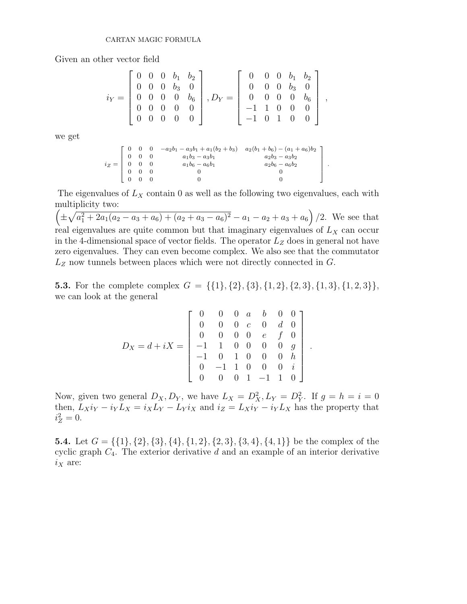Given an other vector field

$$
i_Y = \left[\begin{array}{cccc} 0 & 0 & 0 & b_1 & b_2 \\ 0 & 0 & 0 & b_3 & 0 \\ 0 & 0 & 0 & 0 & b_6 \\ 0 & 0 & 0 & 0 & 0 \\ 0 & 0 & 0 & 0 & 0 \end{array}\right], D_Y = \left[\begin{array}{cccc} 0 & 0 & 0 & b_1 & b_2 \\ 0 & 0 & 0 & b_3 & 0 \\ 0 & 0 & 0 & 0 & b_6 \\ -1 & 1 & 0 & 0 & 0 \\ -1 & 0 & 1 & 0 & 0 \end{array}\right],
$$

we get

$$
i_Z = \begin{bmatrix} 0 & 0 & 0 & -a_2b_1 - a_3b_1 + a_1(b_2 + b_3) & a_2(b_1 + b_6) - (a_1 + a_6)b_2 \\ 0 & 0 & 0 & a_1b_3 - a_3b_1 & a_2b_3 - a_3b_2 \\ 0 & 0 & 0 & a_1b_6 - a_6b_1 & a_2b_6 - a_6b_2 \\ 0 & 0 & 0 & 0 & 0 \\ 0 & 0 & 0 & 0 & 0 \end{bmatrix}
$$

.

The eigenvalues of  $L_X$  contain 0 as well as the following two eigenvalues, each with multiplicity two:

 $\left(\pm\sqrt{a_1^2+2a_1(a_2-a_3+a_6)+(a_2+a_3-a_6)^2}-a_1-a_2+a_3+a_6\right)/2$ . We see that real eigenvalues are quite common but that imaginary eigenvalues of  $L_X$  can occur in the 4-dimensional space of vector fields. The operator  $L<sub>Z</sub>$  does in general not have zero eigenvalues. They can even become complex. We also see that the commutator  $L_Z$  now tunnels between places which were not directly connected in  $G$ .

**5.3.** For the complete complex  $G = \{\{1\}, \{2\}, \{3\}, \{1, 2\}, \{2, 3\}, \{1, 3\}, \{1, 2, 3\}\},\$ we can look at the general

$$
D_X = d + iX = \begin{bmatrix} 0 & 0 & 0 & a & b & 0 & 0 \\ 0 & 0 & 0 & c & 0 & d & 0 \\ 0 & 0 & 0 & 0 & e & f & 0 \\ -1 & 1 & 0 & 0 & 0 & 0 & g \\ -1 & 0 & 1 & 0 & 0 & 0 & h \\ 0 & -1 & 1 & 0 & 0 & 0 & i \\ 0 & 0 & 0 & 1 & -1 & 1 & 0 \end{bmatrix}.
$$

Now, given two general  $D_X, D_Y$ , we have  $L_X = D_X^2, L_Y = D_Y^2$ . If  $g = h = i = 0$ then,  $L_X i_Y - i_Y L_X = i_X L_Y - L_Y i_X$  and  $i_Z = L_X i_Y - i_Y L_X$  has the property that  $i_Z^2 = 0.$ 

**5.4.** Let  $G = \{\{1\}, \{2\}, \{3\}, \{4\}, \{1, 2\}, \{2, 3\}, \{3, 4\}, \{4, 1\}\}\$  be the complex of the cyclic graph  $C_4$ . The exterior derivative d and an example of an interior derivative  $i_X$  are: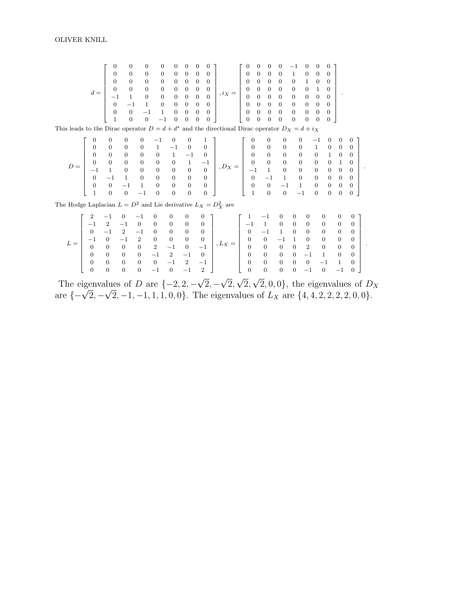|                                                                                                                                                                                                                                                                                                                                                                 |                |  |  |  |  |  |  |  |               | $\overline{0}$                   | $\bf{0}$       |                |                          |
|-----------------------------------------------------------------------------------------------------------------------------------------------------------------------------------------------------------------------------------------------------------------------------------------------------------------------------------------------------------------|----------------|--|--|--|--|--|--|--|---------------|----------------------------------|----------------|----------------|--------------------------|
|                                                                                                                                                                                                                                                                                                                                                                 |                |  |  |  |  |  |  |  |               | $\overline{0}$                   | $\overline{0}$ |                |                          |
|                                                                                                                                                                                                                                                                                                                                                                 |                |  |  |  |  |  |  |  |               | $\begin{array}{c} 1 \end{array}$ | $\mathbf{0}$   |                |                          |
|                                                                                                                                                                                                                                                                                                                                                                 |                |  |  |  |  |  |  |  |               | $\overline{0}$                   | $\overline{0}$ |                |                          |
|                                                                                                                                                                                                                                                                                                                                                                 |                |  |  |  |  |  |  |  |               | $\mathbf{0}$                     | $\overline{0}$ |                |                          |
|                                                                                                                                                                                                                                                                                                                                                                 |                |  |  |  |  |  |  |  |               | $\overline{0}$                   | $\overline{0}$ |                |                          |
|                                                                                                                                                                                                                                                                                                                                                                 |                |  |  |  |  |  |  |  |               | $\overline{0}$                   | $\overline{0}$ |                |                          |
| This leads to the Dirac operator $D = d + d^*$ and the directional Dirac operator $D_X = d + i_X$                                                                                                                                                                                                                                                               |                |  |  |  |  |  |  |  |               |                                  |                |                |                          |
|                                                                                                                                                                                                                                                                                                                                                                 |                |  |  |  |  |  |  |  |               |                                  |                | 0              | $\theta$                 |
|                                                                                                                                                                                                                                                                                                                                                                 |                |  |  |  |  |  |  |  |               |                                  |                | $\mathbf{0}$   | $\overline{0}$           |
|                                                                                                                                                                                                                                                                                                                                                                 |                |  |  |  |  |  |  |  |               |                                  |                | $\overline{0}$ | $\overline{0}$           |
|                                                                                                                                                                                                                                                                                                                                                                 |                |  |  |  |  |  |  |  |               |                                  |                | $0\quad 1$     | $\overline{\phantom{0}}$ |
|                                                                                                                                                                                                                                                                                                                                                                 |                |  |  |  |  |  |  |  |               |                                  |                |                | $\overline{\phantom{0}}$ |
| $D=\left[\begin{array}{cccccc} 0 & 0 & 0 & 0 & -1 & 0 & 0 & 1 \\ 0 & 0 & 0 & 0 & 1 & -1 & 0 & 0 \\ 0 & 0 & 0 & 0 & 0 & 1 & -1 & 0 \\ 0 & 0 & 0 & 0 & 0 & 0 & 1 & -1 \\ -1 & 1 & 0 & 0 & 0 & 0 & 0 & 0 \\ 0 & -1 & 1 & 0 & 0 & 0 & 0 & 0 \\ 0 & 0 & -1 & 1 & 0 & 0 & 0 & 0 \\ 1 & 0 & 0 & -1 & 0 & 0 & 0 & 0 \end{array}\right], D_X=\left[\begin{array}{cccccc$ |                |  |  |  |  |  |  |  |               |                                  |                | $\mathbf{0}$   | $\overline{0}$           |
|                                                                                                                                                                                                                                                                                                                                                                 |                |  |  |  |  |  |  |  |               |                                  |                | $\overline{0}$ | $\overline{0}$           |
|                                                                                                                                                                                                                                                                                                                                                                 |                |  |  |  |  |  |  |  |               |                                  |                | $\theta$       | $\overline{0}$           |
| The Hodge Laplacian $L = D^2$ and Lie derivative $L_X = D_X^2$ are                                                                                                                                                                                                                                                                                              |                |  |  |  |  |  |  |  |               |                                  |                |                |                          |
|                                                                                                                                                                                                                                                                                                                                                                 | $\blacksquare$ |  |  |  |  |  |  |  | $\sim$ $\sim$ |                                  | $\sim$         |                |                          |

1  $\mathbf{I}$  $\mathbf{I}$  $\begin{array}{c} \begin{array}{c} \begin{array}{c} \begin{array}{c} \end{array} \\ \begin{array}{c} \end{array} \end{array} \end{array} \end{array}$  $\mathbf{I}$  $\mathbf{I}$  $\mathbf{I}$ 

.

.

|  | $\begin{bmatrix} 2 & -1 & 0 & -1 & 0 & 0 & 0 & 0 \end{bmatrix}$       |                                          |  |  |                                                                              |                                                                                                                                            | $\begin{bmatrix} 1 & -1 & 0 & 0 & 0 & 0 & 0 & 0 \end{bmatrix}$                                              |                                         |  |  |                                             |  |
|--|-----------------------------------------------------------------------|------------------------------------------|--|--|------------------------------------------------------------------------------|--------------------------------------------------------------------------------------------------------------------------------------------|-------------------------------------------------------------------------------------------------------------|-----------------------------------------|--|--|---------------------------------------------|--|
|  |                                                                       | $-1$ 2 $-1$ 0 0 0 0 0                    |  |  |                                                                              |                                                                                                                                            |                                                                                                             | $-1$ 1 0 0 0 0 0 0 0                    |  |  |                                             |  |
|  | $\begin{array}{cccccccc} 0 & -1 & 2 & -1 & 0 & 0 & 0 & 0 \end{array}$ |                                          |  |  |                                                                              |                                                                                                                                            | $\begin{bmatrix} 0 & -1 & 1 & 0 & 0 & 0 & 0 & 0 \end{bmatrix}$                                              |                                         |  |  |                                             |  |
|  |                                                                       | $-1$ 0 $-1$ 2 0 0 0 0                    |  |  |                                                                              |                                                                                                                                            |                                                                                                             | $0 \t 0 \t -1 \t 1 \t 0 \t 0 \t 0 \t 0$ |  |  |                                             |  |
|  |                                                                       | $0 \t 0 \t 0 \t 0 \t 2 \t -1 \t 0 \t -1$ |  |  |                                                                              |                                                                                                                                            |                                                                                                             | $0 \t 0 \t 0 \t 0 \t 2$                 |  |  | $\begin{array}{cccc} 0 & 0 & 0 \end{array}$ |  |
|  |                                                                       | $0 \t 0 \t 0 \t 0 \t -1 \t 2 \t -1 \t 0$ |  |  |                                                                              |                                                                                                                                            |                                                                                                             | $0 \t 0 \t 0 \t 0 \t -1 \t 1 \t 0 \t 0$ |  |  |                                             |  |
|  |                                                                       |                                          |  |  | $0 \t 0 \t 0 \t 0 \t 0 \t -1 \t 2 \t -1$                                     |                                                                                                                                            | $\begin{array}{cccccccc} \n & 0 & 0 & 0 & 0 & -1 & 1 & 0 \n \end{array}$                                    |                                         |  |  |                                             |  |
|  |                                                                       |                                          |  |  | $\begin{array}{cccccccc} \mid & 0 & 0 & 0 & 0 & -1 & 0 & -1 & 2 \end{array}$ |                                                                                                                                            | $\begin{array}{ccccccc} \begin{array}{ccccccc} \ & 0 & 0 & 0 & 0 & -1 & 0 & -1 & 0 \end{array} \end{array}$ |                                         |  |  |                                             |  |
|  |                                                                       |                                          |  |  |                                                                              | $\epsilon$ , and $\epsilon$ is the $\epsilon$ is the $\epsilon$ is the set of $\epsilon$ is the set of $\epsilon$ is the set of $\epsilon$ |                                                                                                             |                                         |  |  |                                             |  |

The eigenvalues of D are  $\{-2, 2, -\}$  $2, -$ 2, 2, The eigenvalues of D are  $\{-2, 2, -\sqrt{2}, -\sqrt{2}, \sqrt{2}, \sqrt{2}, 0, 0\}$ , the eigenvalues of  $D_X$  are  $\{-\sqrt{2}, -\sqrt{2}, -1, -1, 1, 1, 0, 0\}$ . The eigenvalues of  $L_X$  are  $\{4, 4, 2, 2, 2, 2, 0, 0\}$ . µu  $2, -1, -1, 1, 1, 0, 0$ . The eigenvalues of  $L_X$  are  $\{4, 4, 2, 2, 2, 2, 0, 0\}$ .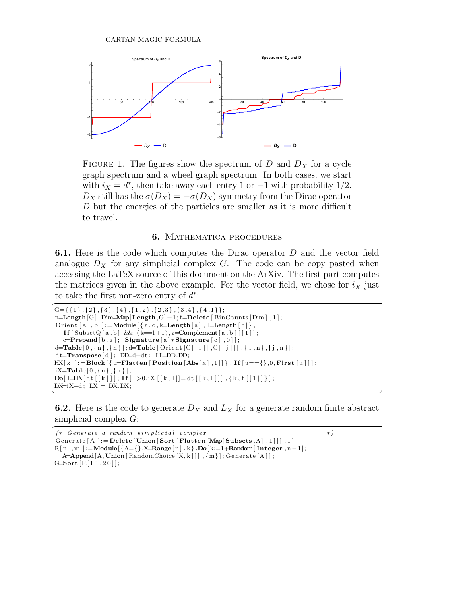

FIGURE 1. The figures show the spectrum of  $D$  and  $D<sub>X</sub>$  for a cycle graph spectrum and a wheel graph spectrum. In both cases, we start with  $i_X = d^*$ , then take away each entry 1 or  $-1$  with probability 1/2.  $D_X$  still has the  $\sigma(D_X) = -\sigma(D_X)$  symmetry from the Dirac operator D but the energies of the particles are smaller as it is more difficult to travel.

## 6. Mathematica procedures

6.1. Here is the code which computes the Dirac operator D and the vector field analogue  $D_X$  for any simplicial complex G. The code can be copy pasted when accessing the LaTeX source of this document on the ArXiv. The first part computes the matrices given in the above example. For the vector field, we chose for  $i_X$  just to take the first non-zero entry of  $d^*$ :

```
\overline{G=\{\{1\},\{2\},\{3\},\{4\},\{1,2\},\{2,3\},\{3,4\},\{4,1\}\}}n=Length [G]; Dim=Map[Length, G]-1; f=Delete [BinCounts [Dim], 1];
 \text{Orient}\left[\left.\texttt{a\_}, \texttt{b\_}\right\}\right] := \textbf{Module}\left[\left\{\left.\texttt{z}, \texttt{c}, \texttt{k=Length}\left[\left.\texttt{a}\right.\right], \texttt{l=Length}\left[\left.\texttt{b}\right.\right]\right\}\right],If [\text{Subset } Q [a, b] \&c \in [-1, 1), z = \text{Complement } [a, b] [1] ];
       c=Prepend[b,z]; Signature [a] * Signature [c], 0]];
 \label{eq:edge} \texttt{d} \texttt{=} \texttt{Table}\left[\begin{smallmatrix}0\,,\{\,\text{n}\,\}\,,\{\,\text{n}\,\}\,\end{smallmatrix}\right]; \texttt{d} \texttt{=} \texttt{Table}\left[\begin{smallmatrix} \texttt{Orient}\left[\begin{smallmatrix} \texttt{G}\, \texttt{G}\, \texttt{G}\, \texttt{G}\, \texttt{G}\, \texttt{G}\, \texttt{G}\, \texttt{G}\, \texttt{G}\, \texttt{G}\, \texttt{G}\, \texttt{G}\, \texttt{G}\, \texttt{G}\, \texttt{G}\, \texttt{G}\, \texttt{G}\, \texttt{\label{eq:st} \texttt{dt=Transpose}\, [\,d\, ]\,;\  \, D\texttt{D=}d\texttt{+}dt\,;\  \, LL\texttt{=}D\texttt{D}.D\texttt{D};HX[x_\text{-}]:=Block[\{u=Flatten [Position[Abs[x], 1]]\}, If[u=\{\},0,First[u]]];
 iX\!\!=\!\!\mathbf{Table}\left[\left.0\right.,\left\{\,n\,\right\},\left\{\,n\,\right\}\,\right];\textbf{Do}[\text{1=HX}[\text{dt}[[k]]]; \text{If}[\text{1}>0,iX[[k,1]]]=\text{dt}[[k,1]]], \{k, f[[1]]\}];DX=iX+d; LX = DX.DX;
```
**6.2.** Here is the code to generate  $D_X$  and  $L_X$  for a generate random finite abstract simplicial complex G:

 $\overline{\phantom{a}}$   $\overline{\phantom{a}}$   $\overline{\phantom{a}}$   $\overline{\phantom{a}}$   $\overline{\phantom{a}}$   $\overline{\phantom{a}}$   $\overline{\phantom{a}}$   $\overline{\phantom{a}}$   $\overline{\phantom{a}}$   $\overline{\phantom{a}}$   $\overline{\phantom{a}}$   $\overline{\phantom{a}}$   $\overline{\phantom{a}}$   $\overline{\phantom{a}}$   $\overline{\phantom{a}}$   $\overline{\phantom{a}}$   $\overline{\phantom{a}}$   $\overline{\phantom{a}}$   $\overline{\$ 

```
✞
(∗ Genera te a random s i m p l i c i a l complex ∗)
 Generate [A_{-}]: = Delete [Union [Sort [Flatten [Map] Subsets, A], 1]]], 1]
R[ n_-, m_-] \colon = \text{Module}[\{ A = \{\}, \text{X} = \text{Range}[n], k \}, \text{Do}[k := 1 + \text{Random}[\text{Integer}, n-1];\mathsf{A}\!\!=\!\!\!\mathsf{Append}\big[\mathsf{A},\mathsf{Union}\big[\mathsf{RandomChoice}\big[\mathsf{X},\mathsf{k}\big]\big]\big] , \{\mathsf{m}\}\big] ; \mathsf{Generator}\big[\mathsf{A}\big]\big] ;
G=Sort [R[10, 20]];
```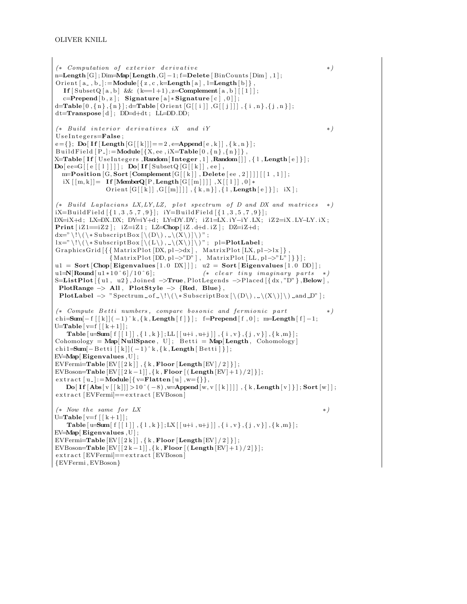```
(*\hbox{ Computation of exterior derivative } * )n=Length [G]; Dim=Map[Length, G] -1; f=Delete [BinCounts [Dim], 1];
Orient [a_-,b_-]: = Module \{z,c,k=Length [a], l=Length [b],
   If \lceil \text{SubsetQ} [a, b] \&( k=1+1), \text{z} = \text{Complement} [a, b] \lceil \lceil 1 \rceil;c=Prepend[b,z]; Signature [a] * Signature [c], 0]];
d=Table [0, {n}, {n}]; d=Table [ Orient [G[[i]], G[[j]]], {i}, n}, {j}, n];
dt = \textbf{Transpose} [ d \, ] \, ; \, \textbf{DD=} d + dt \, ; \, \text{LL=} \textbf{DD}.\textbf{DD};(*\quad Buid\;interior\; derivatives\; iX\quad and\; iY \qquad * )Use Integers = False;e = \{\}; \; \mathbf{Do}[\; \mathbf{If} \; [\mathbf{Length} \; [G \; [[k]]] == 2, e = \mathbf{Append} \; [e \; , k \; ] \; ] \; , \{ k \; , n \; \} \; ] \; ;BuildField [P_{-}]:=Module \{\{X, ee, iX=\text{Table} \, [0, \{n\}, \{n\}]\}\,,
X=Table [If [UseIntegers, Random[Interger, 1], Random[]], \{1, Length[e]\}];\mathbf{Do}[\text{ee}=G\text{[[e][1]]}]; \ \mathbf{Do}[\text{If}[\text{Subset}Q\text{G}][k]], \text{ee}],m=Position[G, Sort[Complement[G[[k]], Delete[ee, 2]]]][[1, 1]],iX \vert [m, k]] = \textbf{If} [\textbf{MemberQ}[P, \textbf{Length}[G[[m]]]]], X[[1]]], 0] *Orient [G[[k]], G[[m]]]], \{k, n\}, \{1, \text{Length}[e]\}; iX;
(* Build Laplacians LX, LY, LZ, plot spectrum of D and DX and matrices *)
iX=B uild Field [\{1,3,5,7,9\}]; iY=B uild Field [\{1,3,5,7,9\}];
DX=iX+d ; LX=DX.DX; DY=iY+d ; LY=DY.DY; iZ 1=LX. iY−iY .LX; iZ 2=iX .LY−LY. iX ;
\text{Print} [\text{iZ1} == \text{iZ2}]; \text{ iZ} == \text{iZ1}; \text{ LZ} = \text{Chop} [\text{iZ}. \text{d+d}. \text{iZ}]; \text{ DZ} = \text{iZ} + \text{d};dx="\!\(\*SubscriptBox[\(D\),_\(X\)]\)";
lx = "\ \setminus ! \setminus (\setminus *SubscriptBox [\setminus (L \setminus), \cup \setminus (X \setminus)] \setminus) " ; p!=PlotLabel ;GraphicsGrid\left[\{\{MatrixPlot\left[DX,pl{\rightarrow}d x\right],\;MatrixPlot\left[UX,pl{\rightarrow}l x\right]\}\right.{MatrixPlot} [DD, pl \rightarrow "D" ], MatrixPlot[LL, pl \rightarrow "L" ]} ;
u1 = Sort [Chop[Eigenvalues [1.0 DX]]]; u2 = Sort [Eigenvalues [1.0 DD]];u1=\mathbf{N}[\text{Round}[\text{u1}*10^6]/10^6]; (* clear tiny imaginary parts
S=ListPlot \left[\{\text{ul}, \text{u2}\}\right], Joined \rightarrowTrue, PlotLegends \rightarrowPlaced \left[\{\text{dx}, \text{''D''}\}\right], Below \right],
 PlotRange \rightarrow All, PlotStyle \rightarrow {Red, Blue},
 PlotLabel \rightarrow " Spectrum _ of _\!\(\* SubscriptBox \left[ \langle D \rangle, \angle \langle X \rangle \right]) _and D" ];
(* Compute Betti numbers, compare bosonic and fermionic part * *)
{\tt chi-Sum}[-f\, [\, [\,k\, ]\, (-1)^\widehat{\,}k\, , \{k\, ,{\tt Length}\, [\, f\, ]\, \} \, ]\, ; \hskip 0.2cm \textit{f}={\tt Prepend} \, [\, f\, ,0\, ]\, ; \hskip 0.2cm \textit{m}={\tt Length}\, [\, f\, ]-1\, ;U=Table [v=f | [k+1];
     Table [u=Sum[f[[1]], \{1, k\}]; LL[[u+i, u+j]], \{i, v\}, \{j, v\}], \{k, m\}];\text{Cohomology} = \text{Map}[\text{NullSpace}, U]; \text{ Betti} = \text{Map}[\text{Length}, \text{Cohomology}]chi 1=Sum[-Betti [ [ k] ] (-1)^k, { k, Length [ Betti ] \} ;
EV = Map[Eigenvalues, U];
EVFermi=Table [EV][2k]], {k, Floor [Length [EV]/2];
EVBoson=Table [EV[[2k-1]], \{k, \text{Floor}[(\text{Length}[EV]+1)/2]\}];extract [u_{-}] := \text{Module}[\{v = \text{Flatten}[u], w = \{\}\},\\text{Do}[\text{If}[\text{Abs}[v][k]]] > 10^(-8),\text{w=Append}[w,v[[k]]]], \{\text{k}, \text{Length}[v]\}]; Sort [w]];
extract [EVFermi] == extract [EVBoson](∗ Now t h e same f o r LX ∗)
U=Table [v=f | [k+1];
    {\bf Table \left[ u\!\!=\!\!Sum[\left. f\left[\left[\,l\,\right]\right],\left\{ \,l\,,k\,\right\} \right]; LX\left[\left[\,u\!\!+ \!i\,,u\!\!+ \!j\,\right]\right],\left\{ \,i\,,v\,\right\} ,\left\{ \,j\,,v\,\right\} \right],\left\{ \,k\,,m\right\} \right];}EV=Map[ Eigenvalues ,U ] ;
EVFermi=Table [EV[[2k]], {k, Floor [Length[EV]/2]\}];
EVBoson=Table [EV[[2k-1]], \{k, \textbf{Floor}[(\textbf{Length}[EV]+1)/2]\}];extrac{t [EVFermi] == extract [EVBoson]}{EVFermi , EVBoson}
```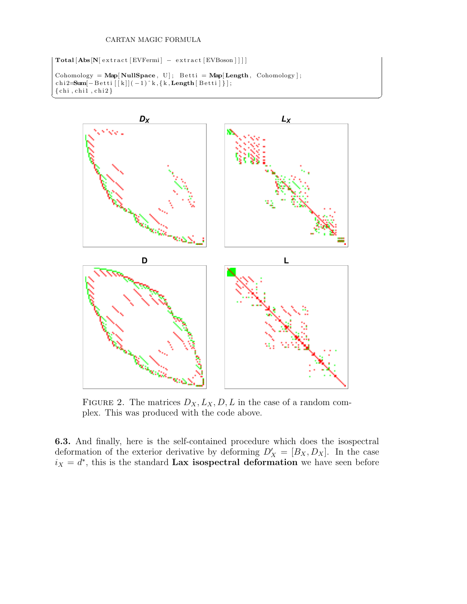$\textbf{Total} [\textbf{Abs}[\textbf{N}] \text{ extract} [\text{EVFermi}] - \text{extract} [\text{EVBoson}]]$ 

```
\text{Cohomology} = \text{Map}[\text{NullSpace}, U]; \text{ Betti} = \text{Map}[\text{Length}, \text{ Cohomology}];\mathtt{chi2}=\hspace{-0.5mm}=\hspace{-0.5mm}\mathrm{\bf Sum}\hspace{-0.5mm}[-\hspace{0.5mm}\text{Betti}\hspace{0.5mm}[\hspace{0.5mm}[{\bf k}]](-1)\hspace{0.5mm}]\hspace{0.5mm}^{\wedge}\hspace{0.5mm}{\rm k}, \hspace{0.5mm}\{\hspace{0.5mm}{\rm k},\hspace{0.5mm}\text{Length}\hspace{0.5mm}[\hspace{0.5mm}\text{Betti}\hspace{0.5mm}]\hspace{0.5mm}\})\hspace{0.5mm};\{\text{chi}, \text{chi1}, \text{chi2}\}
```


✝ ✆

FIGURE 2. The matrices  $D_X, L_X, D, L$  in the case of a random complex. This was produced with the code above.

6.3. And finally, here is the self-contained procedure which does the isospectral deformation of the exterior derivative by deforming  $D'_X = [B_X, D_X]$ . In the case  $i_X = d^*$ , this is the standard Lax isospectral deformation we have seen before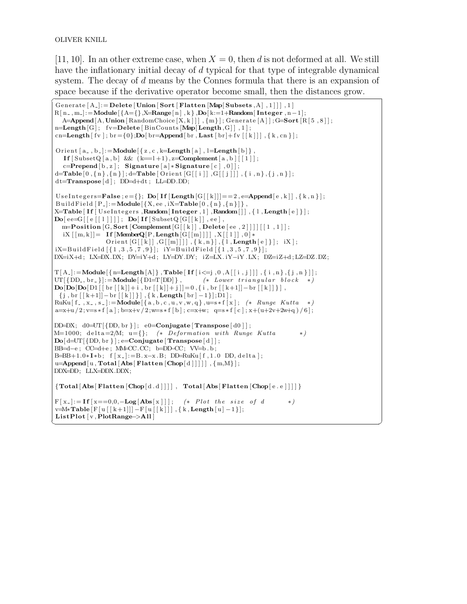[11, 10]. In an other extreme case, when  $X = 0$ , then d is not deformed at all. We still have the inflationary initial decay of d typical for that type of integrable dynamical system. The decay of d means by the Connes formula that there is an expansion of space because if the derivative operator become small, then the distances grow.

```
Generate [A_-] := \textbf{Delete} [Union [Sort [Flatten [Map[Subsets, A], 1]], 1]
R[n_-,m_-]:=Module\{\{A=\{\},X=Range[n],k\},Do[k:=1+Random[Integer,n-1];A=Append [A, Union [RandomChoice [X, k]]], \{m\}; Generate [A]]; G=Sort [R[5, 8]];
n=Length [G]; fv=Delete [BinCounts [Map[Length, G]], 1];
cn=Length [ fv ]; br = {0};Do[ br=Append[ br, Last [ br]+ fv [[k]]], { k, cn } ];
Orient [a_-,b_-]: = Module \{z, c, k=Length [a], l=Length [b],
    If \lceil \text{Subset} \{a, b\} \rceil & (k=1+1), z=\text{Complement}[a, b] \lceil \lceil 1 \rceil ;
    c=Prepend[b,z]; Signature [a]*Signature [c],0];
d=Table [0, {n}, {n}]; d=Table [ Orient [G[[i]], G[[j]]], \{i, n\}, {j, n}\};
dt =Transpose [d]; DD=d+dt; LL=DD.DD;
 UseIntegers=False; e={}; Do[If[Length [G[[k]]]==2, e=Append[e,k]], {k,n}];
BuildField [P_-]:=\text{Module}[\{X, ee, iX=\text{Table}[0, \{n\}, \{n\}]\},X=Table \left[ \text{ If } \left[ \text{ Use} \text{Integers }, \text{Random} \left[ \text{Integer }, 1 \right], \text{Random} \left[ \left[ \right. \right] \right], \left\{ \text{1 }, \text{Length} \left[ \text{e } \right] \right\} \right],\textbf{Do}[\text{ee}=G\text{[[e[[1]]]]}; \text{Do}[\text{If}[\text{Subset}Q\text{G}[[k]]], \text{ee}],m=Position[G, Sort[Complement[G[[k]], Delete[ee, 2]]]][[1, 1]],iX \vert [m, k]] = \textbf{If} [\textbf{MemberQ}[P, \textbf{Length}[G[[m]]]]], X[[1]], 0] *\texttt{Orient}\left[\texttt{G}\!\left[\!\left[\!\left[\,k\,\right]\!\right],\texttt{G}\!\left[\,\left[\,\text{m}\right]\!\right]\right]\right],\,\left\{\,k\,,n\,\right\}\right],\,\left\{\,l\,,\mathbf{Length}\!\left[\,\text{e}\,\right]\,\right\}\right];\;\;\text{iX}\,]\,;iX=B uild Field [\{1,3,5,7,9\}]; iY=B uild Field [\{1,3,5,7,9\}];
DX=iX+d ; LX=DX.DX; DY=iY+d ; LY=DY.DY; iZ=LX. iY−iY .LX; DZ=iZ+d ; LZ=DZ.DZ;
T[A_-] \!:=\! \mathbf{Module}[\{\,n \!\!=\!\! \mathbf{Length}[A]\,\} \,, \mathbf{Table}\, [\, \mathbf{If} \, [\,i \!\mathrel{< =}\! j \,, 0 \,, A\, [\,[\,i \,,j \,]]\,]\,, \{\, i \,, n \,\}\,, \{\,j \,, n \,\}\,]] \,;UT[\{DD_-, br_-\}]:=Module[\{DI=T[DD]\}\,, (* Lower triangular block *)
\textbf{Do}[\textbf{Do}[\textbf{Do}[\textbf{Do}[\textbf{Di}[[\text{br}[[\text{k}]]+i],\text{br}[[\text{k}]]+j]]=0, \{i, \text{br}[[\text{k}+1]]-\text{br}[[\text{k}]]\}]\,{\rm [j \,, br \, [\, [k+1]]-br \, [\, [k \, ] \, ] \, ] \,}, {\rm [k \,, Length \, [\, br \, ]-1 \, ] \,]; D1 \,] \, ;}RuKu[ f _ , x _ , s _]:=Module[{a, b, c, u, v, w, q}, u=s * f[x]; (* Runge Kutta *)
a=x+u/2; v=s*f[a]; b=x+v/2; w=s*f[b]; c=x+w; q=s*f[c]; x+(u+2v+2w+q)/6;
\text{DD}\!\!\!=\!\!\!D\!X;\;\;\mathrm{d}0\!\!=\!\!\!\mathrm{UT}[\{\text{DD, br }\}\,]\,;\;\;\mathrm{e}0\!\!=\!\!\textbf{Conjugate}\left[\,\textbf{Transpose}\left[\,\mathrm{d}0\,\right]\right];M=1000; delta=2/M; u={}; (* Deformation with Runge Kutta *)
\text{Do}[\text{d=UT} \vert \{\text{DD, br } \}\vert; \text{e=Conjugate} \vert \text{Transpose} \vert \text{d} \vert \vert;BB=d−e ; CC=d+e ; MM=CC.CC; b=DD−CC; VV=b . b ;
B=BB+1.0* I *b; f [x_+] := B.x-x.B; DD=RuKu[f, 1.0 DD, delta ];u=Append[u, Total[Abs[Flatten [Chop[d]]]]], {m,M}];
DDX=DD; LLX=DDX.DDX;
 {\rm Total} [\text{Abs}[\text{Flatten}[\text{Chop}[\text{d.d}]]]], \text{Total}[\text{Abs}[\text{Flatten}[\text{Chop}[\text{e.e}]]]]]F[x_+] := \textbf{If } [x == 0, 0, -\textbf{Log}[\textbf{Abs}[x]]]; \quad (*) \text{Plot the size of } d \qquad *)v=M*Table [F [ u [ [ k+1 ] ] ] -F [ u [ [ k ] ] ], { k, Length [u] -1 } ];
ListPlot [v, PlotRange->All]
✝ ✆
```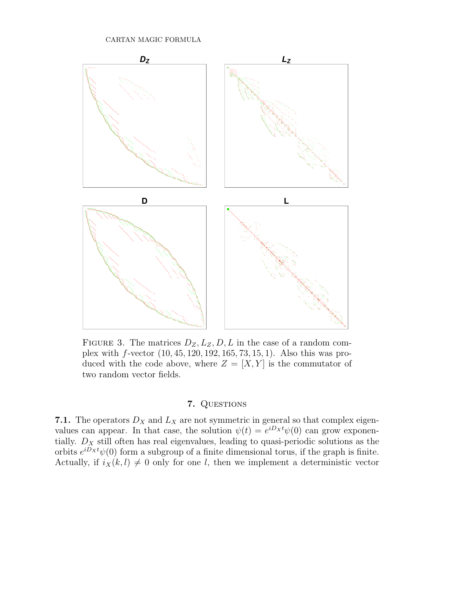

FIGURE 3. The matrices  $D_Z, L_Z, D, L$  in the case of a random complex with f-vector (10, 45, 120, 192, 165, 73, 15, 1). Also this was produced with the code above, where  $Z = [X, Y]$  is the commutator of two random vector fields.

# 7. QUESTIONS

7.1. The operators  $D_X$  and  $L_X$  are not symmetric in general so that complex eigenvalues can appear. In that case, the solution  $\psi(t) = e^{iD_x t} \psi(0)$  can grow exponentially.  $D_X$  still often has real eigenvalues, leading to quasi-periodic solutions as the orbits  $e^{iD_X t}\psi(0)$  form a subgroup of a finite dimensional torus, if the graph is finite. Actually, if  $i_X(k, l) \neq 0$  only for one l, then we implement a deterministic vector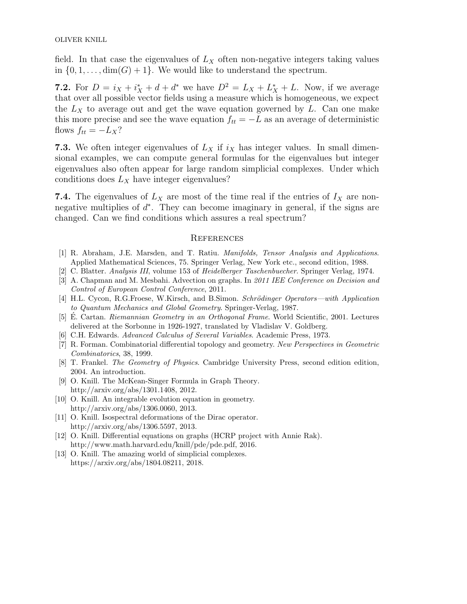field. In that case the eigenvalues of  $L<sub>X</sub>$  often non-negative integers taking values in  $\{0, 1, \ldots, \dim(G) + 1\}$ . We would like to understand the spectrum.

**7.2.** For  $D = i_X + i_X^* + d + d^*$  we have  $D^2 = L_X + L_X^* + L$ . Now, if we average that over all possible vector fields using a measure which is homogeneous, we expect the  $L_X$  to average out and get the wave equation governed by  $L$ . Can one make this more precise and see the wave equation  $f_{tt} = -L$  as an average of deterministic flows  $f_{tt} = -L_X?$ 

7.3. We often integer eigenvalues of  $L_X$  if  $i_X$  has integer values. In small dimensional examples, we can compute general formulas for the eigenvalues but integer eigenvalues also often appear for large random simplicial complexes. Under which conditions does  $L_X$  have integer eigenvalues?

7.4. The eigenvalues of  $L_X$  are most of the time real if the entries of  $I_X$  are nonnegative multiplies of  $d^*$ . They can become imaginary in general, if the signs are changed. Can we find conditions which assures a real spectrum?

### **REFERENCES**

- [1] R. Abraham, J.E. Marsden, and T. Ratiu. Manifolds, Tensor Analysis and Applications. Applied Mathematical Sciences, 75. Springer Verlag, New York etc., second edition, 1988.
- [2] C. Blatter. Analysis III, volume 153 of Heidelberger Taschenbuecher. Springer Verlag, 1974.
- [3] A. Chapman and M. Mesbahi. Advection on graphs. In 2011 IEE Conference on Decision and Control of European Control Conference, 2011.
- [4] H.L. Cycon, R.G.Froese, W.Kirsch, and B.Simon. Schrödinger Operators—with Application to Quantum Mechanics and Global Geometry. Springer-Verlag, 1987.
- [5] E. Cartan. Riemannian Geometry in an Orthogonal Frame. World Scientific, 2001. Lectures delivered at the Sorbonne in 1926-1927, translated by Vladislav V. Goldberg.
- [6] C.H. Edwards. Advanced Calculus of Several Variables. Academic Press, 1973.
- [7] R. Forman. Combinatorial differential topology and geometry. New Perspectives in Geometric Combinatorics, 38, 1999.
- [8] T. Frankel. The Geometry of Physics. Cambridge University Press, second edition edition, 2004. An introduction.
- [9] O. Knill. The McKean-Singer Formula in Graph Theory. http://arxiv.org/abs/1301.1408, 2012.
- [10] O. Knill. An integrable evolution equation in geometry. http://arxiv.org/abs/1306.0060, 2013.
- [11] O. Knill. Isospectral deformations of the Dirac operator. http://arxiv.org/abs/1306.5597, 2013.
- [12] O. Knill. Differential equations on graphs (HCRP project with Annie Rak). http://www.math.harvard.edu/knill/pde/pde.pdf, 2016.
- [13] O. Knill. The amazing world of simplicial complexes. https://arxiv.org/abs/1804.08211, 2018.